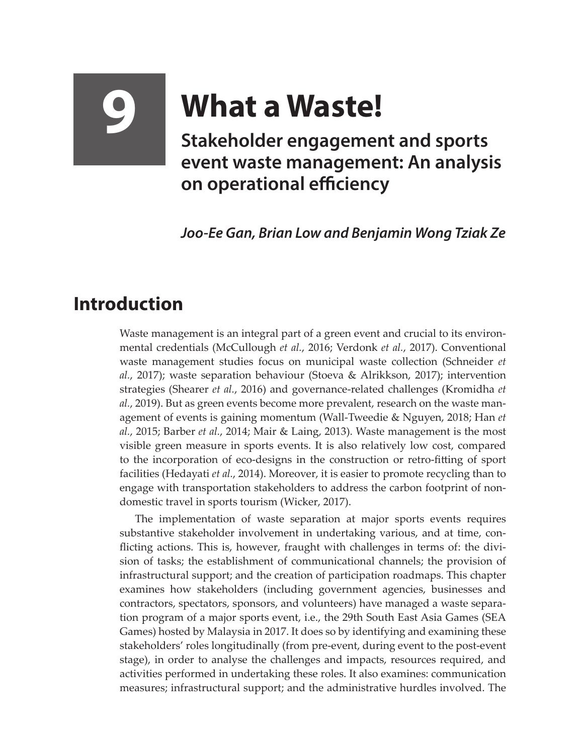## **9 What a Waste!**

**Stakeholder engagement and sports event waste management: An analysis on operational efficiency**

*Joo-Ee Gan, Brian Low and Benjamin Wong Tziak Ze*

## **Introduction**

Waste management is an integral part of a green event and crucial to its environmental credentials (McCullough *et al.*, 2016; Verdonk *et al.*, 2017). Conventional waste management studies focus on municipal waste collection (Schneider *et al.*, 2017); waste separation behaviour (Stoeva & Alrikkson, 2017); intervention strategies (Shearer *et al.*, 2016) and governance-related challenges (Kromidha *et al.*, 2019). But as green events become more prevalent, research on the waste management of events is gaining momentum (Wall-Tweedie & Nguyen, 2018; Han *et al.*, 2015; Barber *et al.*, 2014; Mair & Laing, 2013). Waste management is the most visible green measure in sports events. It is also relatively low cost, compared to the incorporation of eco-designs in the construction or retro-fitting of sport facilities (Hedayati *et al.*, 2014). Moreover, it is easier to promote recycling than to engage with transportation stakeholders to address the carbon footprint of nondomestic travel in sports tourism (Wicker, 2017).

The implementation of waste separation at major sports events requires substantive stakeholder involvement in undertaking various, and at time, conflicting actions. This is, however, fraught with challenges in terms of: the division of tasks; the establishment of communicational channels; the provision of infrastructural support; and the creation of participation roadmaps. This chapter examines how stakeholders (including government agencies, businesses and contractors, spectators, sponsors, and volunteers) have managed a waste separation program of a major sports event, i.e., the 29th South East Asia Games (SEA Games) hosted by Malaysia in 2017. It does so by identifying and examining these stakeholders' roles longitudinally (from pre-event, during event to the post-event stage), in order to analyse the challenges and impacts, resources required, and activities performed in undertaking these roles. It also examines: communication measures; infrastructural support; and the administrative hurdles involved. The